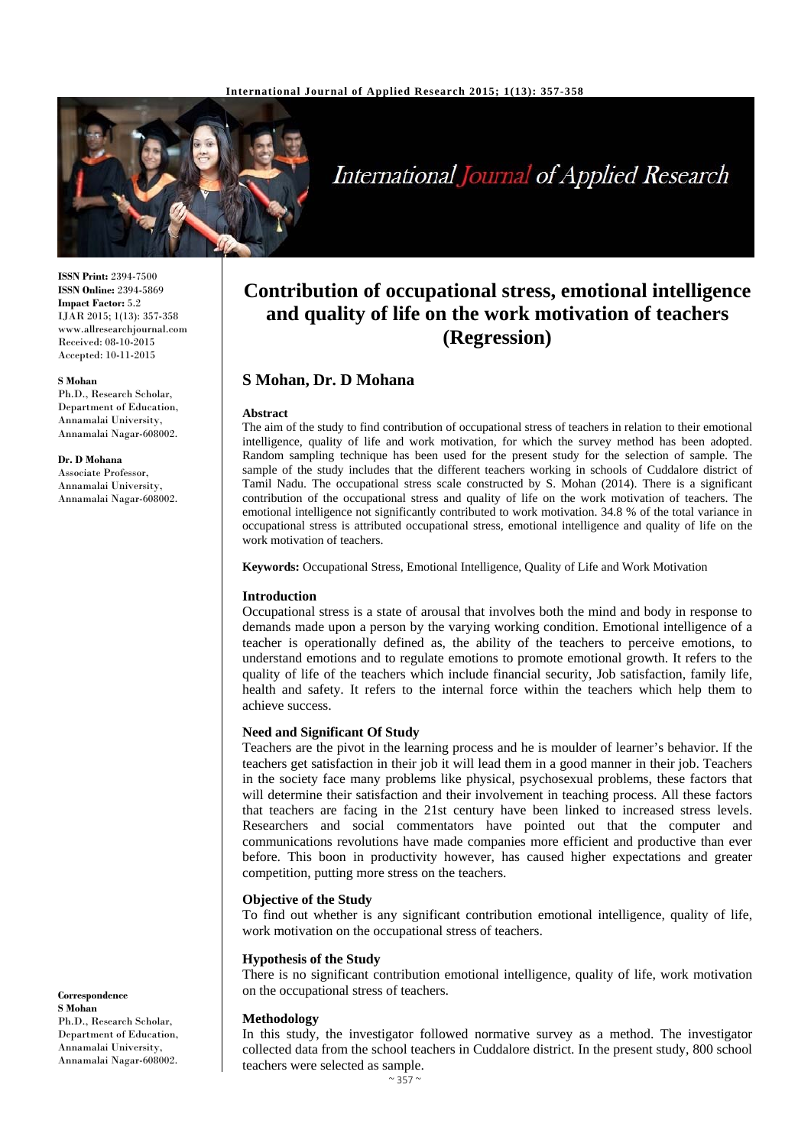

# International Journal of Applied Research

**ISSN Print:** 2394-7500 **ISSN Online:** 2394-5869 **Impact Factor:** 5.2 IJAR 2015; 1(13): 357-358 www.allresearchjournal.com Received: 08-10-2015 Accepted: 10-11-2015

#### **S Mohan**

Ph.D., Research Scholar, Department of Education, Annamalai University, Annamalai Nagar-608002.

#### **Dr. D Mohana**

Associate Professor, Annamalai University, Annamalai Nagar-608002.

**Correspondence S Mohan** Ph.D., Research Scholar, Department of Education, Annamalai University, Annamalai Nagar-608002.

# **Contribution of occupational stress, emotional intelligence and quality of life on the work motivation of teachers (Regression)**

# **S Mohan, Dr. D Mohana**

#### **Abstract**

The aim of the study to find contribution of occupational stress of teachers in relation to their emotional intelligence, quality of life and work motivation, for which the survey method has been adopted. Random sampling technique has been used for the present study for the selection of sample. The sample of the study includes that the different teachers working in schools of Cuddalore district of Tamil Nadu. The occupational stress scale constructed by S. Mohan (2014). There is a significant contribution of the occupational stress and quality of life on the work motivation of teachers. The emotional intelligence not significantly contributed to work motivation. 34.8 % of the total variance in occupational stress is attributed occupational stress, emotional intelligence and quality of life on the work motivation of teachers.

**Keywords:** Occupational Stress, Emotional Intelligence, Quality of Life and Work Motivation

#### **Introduction**

Occupational stress is a state of arousal that involves both the mind and body in response to demands made upon a person by the varying working condition. Emotional intelligence of a teacher is operationally defined as, the ability of the teachers to perceive emotions, to understand emotions and to regulate emotions to promote emotional growth. It refers to the quality of life of the teachers which include financial security, Job satisfaction, family life, health and safety. It refers to the internal force within the teachers which help them to achieve success.

#### **Need and Significant Of Study**

Teachers are the pivot in the learning process and he is moulder of learner's behavior. If the teachers get satisfaction in their job it will lead them in a good manner in their job. Teachers in the society face many problems like physical, psychosexual problems, these factors that will determine their satisfaction and their involvement in teaching process. All these factors that teachers are facing in the 21st century have been linked to increased stress levels. Researchers and social commentators have pointed out that the computer and communications revolutions have made companies more efficient and productive than ever before. This boon in productivity however, has caused higher expectations and greater competition, putting more stress on the teachers.

#### **Objective of the Study**

To find out whether is any significant contribution emotional intelligence, quality of life, work motivation on the occupational stress of teachers.

#### **Hypothesis of the Study**

There is no significant contribution emotional intelligence, quality of life, work motivation on the occupational stress of teachers.

#### **Methodology**

In this study, the investigator followed normative survey as a method. The investigator collected data from the school teachers in Cuddalore district. In the present study, 800 school teachers were selected as sample.